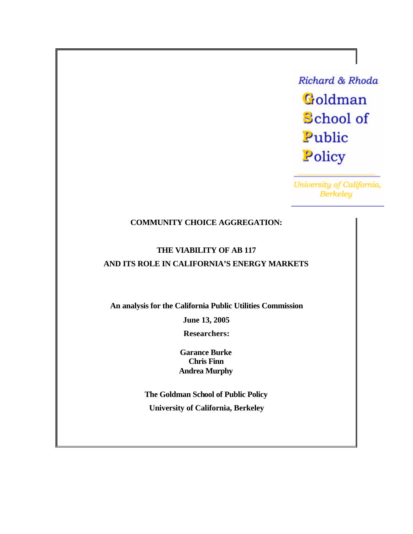**Richard & Rhoda** Goldman School of Public Policy

University of California, **Berkeley** 

# **COMMUNITY CHOICE AGGREGATION:**

# **THE VIABILITY OF AB 117 AND ITS ROLE IN CALIFORNIA'S ENERGY MARKETS**

**An analysis for the California Public Utilities Commission**

**June 13, 2005**

**Researchers:**

**Garance Burke Chris Finn Andrea Murphy**

**The Goldman School of Public Policy University of California, Berkeley**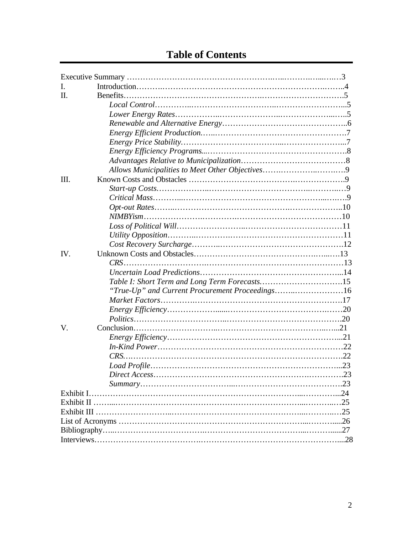| I.  |                                                 |  |  |  |
|-----|-------------------------------------------------|--|--|--|
| П.  |                                                 |  |  |  |
|     |                                                 |  |  |  |
|     |                                                 |  |  |  |
|     |                                                 |  |  |  |
|     |                                                 |  |  |  |
|     |                                                 |  |  |  |
|     |                                                 |  |  |  |
|     |                                                 |  |  |  |
|     |                                                 |  |  |  |
| Ш.  |                                                 |  |  |  |
|     |                                                 |  |  |  |
|     |                                                 |  |  |  |
|     |                                                 |  |  |  |
|     |                                                 |  |  |  |
|     |                                                 |  |  |  |
|     |                                                 |  |  |  |
|     |                                                 |  |  |  |
| IV. |                                                 |  |  |  |
|     |                                                 |  |  |  |
|     |                                                 |  |  |  |
|     |                                                 |  |  |  |
|     | "True-Up" and Current Procurement Proceedings16 |  |  |  |
|     |                                                 |  |  |  |
|     |                                                 |  |  |  |
|     | $Politics \dots 20$                             |  |  |  |
| V.  |                                                 |  |  |  |
|     |                                                 |  |  |  |
|     |                                                 |  |  |  |
|     |                                                 |  |  |  |
|     |                                                 |  |  |  |
|     |                                                 |  |  |  |
|     |                                                 |  |  |  |
|     |                                                 |  |  |  |
|     |                                                 |  |  |  |
|     |                                                 |  |  |  |
|     |                                                 |  |  |  |
|     |                                                 |  |  |  |
|     |                                                 |  |  |  |
|     |                                                 |  |  |  |

# **Table of Contents**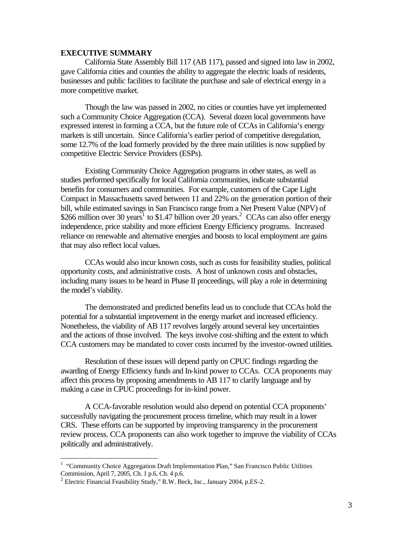#### **EXECUTIVE SUMMARY**

California State Assembly Bill 117 (AB 117), passed and signed into law in 2002, gave California cities and counties the ability to aggregate the electric loads of residents, businesses and public facilities to facilitate the purchase and sale of electrical energy in a more competitive market.

Though the law was passed in 2002, no cities or counties have yet implemented such a Community Choice Aggregation (CCA). Several dozen local governments have expressed interest in forming a CCA, but the future role of CCAs in California's energy markets is still uncertain. Since California's earlier period of competitive deregulation, some 12.7% of the load formerly provided by the three main utilities is now supplied by competitive Electric Service Providers (ESPs).

Existing Community Choice Aggregation programs in other states, as well as studies performed specifically for local California communities, indicate substantial benefits for consumers and communities. For example, customers of the Cape Light Compact in Massachusetts saved between 11 and 22% on the generation portion of their bill, while estimated savings in San Francisco range from a Net Present Value (NPV) of \$266 million over 30 years<sup>1</sup> to \$1.47 billion over 20 years.<sup>2</sup> CCAs can also offer energy independence, price stability and more efficient Energy Efficiency programs. Increased reliance on renewable and alternative energies and boosts to local employment are gains that may also reflect local values.

CCAs would also incur known costs, such as costs for feasibility studies, political opportunity costs, and administrative costs. A host of unknown costs and obstacles, including many issues to be heard in Phase II proceedings, will play a role in determining the model's viability.

The demonstrated and predicted benefits lead us to conclude that CCAs hold the potential for a substantial improvement in the energy market and increased efficiency. Nonetheless, the viability of AB 117 revolves largely around several key uncertainties and the actions of those involved. The keys involve cost-shifting and the extent to which CCA customers may be mandated to cover costs incurred by the investor-owned utilities.

Resolution of these issues will depend partly on CPUC findings regarding the awarding of Energy Efficiency funds and In-kind power to CCAs. CCA proponents may affect this process by proposing amendments to AB 117 to clarify language and by making a case in CPUC proceedings for in-kind power.

A CCA-favorable resolution would also depend on potential CCA proponents' successfully navigating the procurement process timeline, which may result in a lower CRS. These efforts can be supported by improving transparency in the procurement review process. CCA proponents can also work together to improve the viability of CCAs politically and administratively.

<sup>&</sup>lt;sup>1</sup> "Community Choice Aggregation Draft Implementation Plan," San Francisco Public Utilities Commission, April 7, 2005, Ch. 1 p.6, Ch. 4 p.6.

<sup>&</sup>lt;sup>2</sup> Electric Financial Feasibility Study," R.W. Beck, Inc., January 2004, p.ES-2.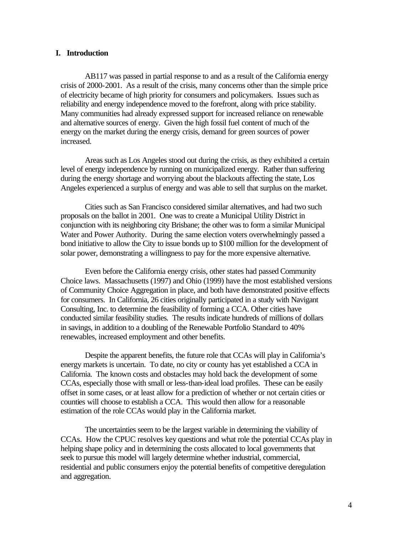#### **I. Introduction**

AB117 was passed in partial response to and as a result of the California energy crisis of 2000-2001. As a result of the crisis, many concerns other than the simple price of electricity became of high priority for consumers and policymakers. Issues such as reliability and energy independence moved to the forefront, along with price stability. Many communities had already expressed support for increased reliance on renewable and alternative sources of energy. Given the high fossil fuel content of much of the energy on the market during the energy crisis, demand for green sources of power increased.

Areas such as Los Angeles stood out during the crisis, as they exhibited a certain level of energy independence by running on municipalized energy. Rather than suffering during the energy shortage and worrying about the blackouts affecting the state, Los Angeles experienced a surplus of energy and was able to sell that surplus on the market.

Cities such as San Francisco considered similar alternatives, and had two such proposals on the ballot in 2001. One was to create a Municipal Utility District in conjunction with its neighboring city Brisbane; the other was to form a similar Municipal Water and Power Authority. During the same election voters overwhelmingly passed a bond initiative to allow the City to issue bonds up to \$100 million for the development of solar power, demonstrating a willingness to pay for the more expensive alternative.

Even before the California energy crisis, other states had passed Community Choice laws. Massachusetts (1997) and Ohio (1999) have the most established versions of Community Choice Aggregation in place, and both have demonstrated positive effects for consumers. In California, 26 cities originally participated in a study with Navigant Consulting, Inc. to determine the feasibility of forming a CCA. Other cities have conducted similar feasibility studies. The results indicate hundreds of millions of dollars in savings, in addition to a doubling of the Renewable Portfolio Standard to 40% renewables, increased employment and other benefits.

Despite the apparent benefits, the future role that CCAs will play in California's energy markets is uncertain. To date, no city or county has yet established a CCA in California. The known costs and obstacles may hold back the development of some CCAs, especially those with small or less-than-ideal load profiles. These can be easily offset in some cases, or at least allow for a prediction of whether or not certain cities or counties will choose to establish a CCA. This would then allow for a reasonable estimation of the role CCAs would play in the California market.

The uncertainties seem to be the largest variable in determining the viability of CCAs. How the CPUC resolves key questions and what role the potential CCAs play in helping shape policy and in determining the costs allocated to local governments that seek to pursue this model will largely determine whether industrial, commercial, residential and public consumers enjoy the potential benefits of competitive deregulation and aggregation.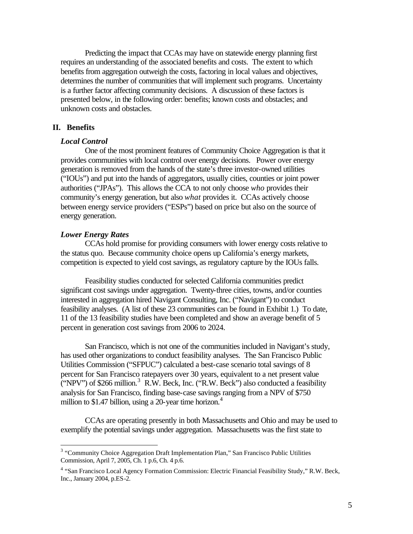Predicting the impact that CCAs may have on statewide energy planning first requires an understanding of the associated benefits and costs. The extent to which benefits from aggregation outweigh the costs, factoring in local values and objectives, determines the number of communities that will implement such programs. Uncertainty is a further factor affecting community decisions. A discussion of these factors is presented below, in the following order: benefits; known costs and obstacles; and unknown costs and obstacles.

#### **II. Benefits**

#### *Local Control*

One of the most prominent features of Community Choice Aggregation is that it provides communities with local control over energy decisions. Power over energy generation is removed from the hands of the state's three investor-owned utilities ("IOUs") and put into the hands of aggregators, usually cities, counties or joint power authorities ("JPAs"). This allows the CCA to not only choose *who* provides their community's energy generation, but also *what* provides it. CCAs actively choose between energy service providers ("ESPs") based on price but also on the source of energy generation.

#### *Lower Energy Rates*

 $\overline{a}$ 

CCAs hold promise for providing consumers with lower energy costs relative to the status quo. Because community choice opens up California's energy markets, competition is expected to yield cost savings, as regulatory capture by the IOUs falls.

Feasibility studies conducted for selected California communities predict significant cost savings under aggregation. Twenty-three cities, towns, and/or counties interested in aggregation hired Navigant Consulting, Inc. ("Navigant") to conduct feasibility analyses. (A list of these 23 communities can be found in Exhibit 1.) To date, 11 of the 13 feasibility studies have been completed and show an average benefit of 5 percent in generation cost savings from 2006 to 2024.

San Francisco, which is not one of the communities included in Navigant's study, has used other organizations to conduct feasibility analyses. The San Francisco Public Utilities Commission ("SFPUC") calculated a best-case scenario total savings of 8 percent for San Francisco ratepayers over 30 years, equivalent to a net present value  $\sim$  ('NPV'') of \$266 million.<sup>3</sup> R.W. Beck, Inc. ("R.W. Beck'') also conducted a feasibility analysis for San Francisco, finding base-case savings ranging from a NPV of \$750 million to \$1.47 billion, using a 20-year time horizon.<sup>4</sup>

CCAs are operating presently in both Massachusetts and Ohio and may be used to exemplify the potential savings under aggregation. Massachusetts was the first state to

<sup>&</sup>lt;sup>3</sup> "Community Choice Aggregation Draft Implementation Plan," San Francisco Public Utilities Commission, April 7, 2005, Ch. 1 p.6, Ch. 4 p.6.

<sup>&</sup>lt;sup>4</sup> "San Francisco Local Agency Formation Commission: Electric Financial Feasibility Study," R.W. Beck, Inc., January 2004, p.ES-2.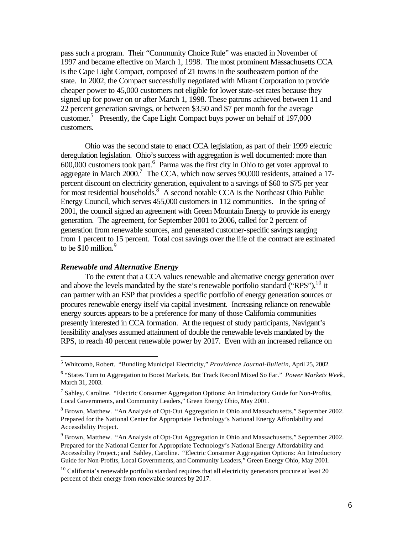pass such a program. Their "Community Choice Rule" was enacted in November of 1997 and became effective on March 1, 1998. The most prominent Massachusetts CCA is the Cape Light Compact, composed of 21 towns in the southeastern portion of the state. In 2002, the Compact successfully negotiated with Mirant Corporation to provide cheaper power to 45,000 customers not eligible for lower state-set rates because they signed up for power on or after March 1, 1998. These patrons achieved between 11 and 22 percent generation savings, or between \$3.50 and \$7 per month for the average customer.<sup>5</sup> Presently, the Cape Light Compact buys power on behalf of 197,000 customers.

Ohio was the second state to enact CCA legislation, as part of their 1999 electric deregulation legislation. Ohio's success with aggregation is well documented: more than  $600,000$  customers took part.<sup>6</sup> Parma was the first city in Ohio to get voter approval to aggregate in March 2000.<sup>7</sup> The CCA, which now serves 90,000 residents, attained a 17percent discount on electricity generation, equivalent to a savings of \$60 to \$75 per year for most residential households.<sup>8</sup> A second notable CCA is the Northeast Ohio Public Energy Council, which serves 455,000 customers in 112 communities. In the spring of 2001, the council signed an agreement with Green Mountain Energy to provide its energy generation. The agreement, for September 2001 to 2006, called for 2 percent of generation from renewable sources, and generated customer-specific savings ranging from 1 percent to 15 percent. Total cost savings over the life of the contract are estimated to be  $$10$  million.<sup>9</sup>

### *Renewable and Alternative Energy*

 $\overline{a}$ 

To the extent that a CCA values renewable and alternative energy generation over and above the levels mandated by the state's renewable portfolio standard ("RPS"),  $^{10}$  it can partner with an ESP that provides a specific portfolio of energy generation sources or procures renewable energy itself via capital investment. Increasing reliance on renewable energy sources appears to be a preference for many of those California communities presently interested in CCA formation. At the request of study participants, Navigant's feasibility analyses assumed attainment of double the renewable levels mandated by the RPS, to reach 40 percent renewable power by 2017. Even with an increased reliance on

<sup>5</sup> Whitcomb, Robert. "Bundling Municipal Electricity," *Providence Journal-Bulletin*, April 25, 2002.

<sup>6</sup> "States Turn to Aggregation to Boost Markets, But Track Record Mixed So Far." *Power Markets Week*, March 31, 2003.

<sup>&</sup>lt;sup>7</sup> Sahley, Caroline. "Electric Consumer Aggregation Options: An Introductory Guide for Non-Profits, Local Governments, and Community Leaders," Green Energy Ohio, May 2001.

<sup>&</sup>lt;sup>8</sup> Brown, Matthew. "An Analysis of Opt-Out Aggregation in Ohio and Massachusetts," September 2002. Prepared for the National Center for Appropriate Technology's National Energy Affordability and Accessibility Project.

<sup>9</sup> Brown, Matthew. "An Analysis of Opt-Out Aggregation in Ohio and Massachusetts," September 2002. Prepared for the National Center for Appropriate Technology's National Energy Affordability and Accessibility Project.; and Sahley, Caroline. "Electric Consumer Aggregation Options: An Introductory Guide for Non-Profits, Local Governments, and Community Leaders," Green Energy Ohio, May 2001.

 $10$  California's renewable portfolio standard requires that all electricity generators procure at least 20 percent of their energy from renewable sources by 2017.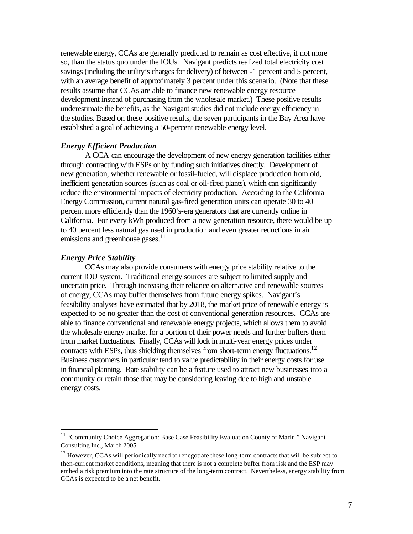renewable energy, CCAs are generally predicted to remain as cost effective, if not more so, than the status quo under the IOUs. Navigant predicts realized total electricity cost savings (including the utility's charges for delivery) of between -1 percent and 5 percent, with an average benefit of approximately 3 percent under this scenario. (Note that these results assume that CCAs are able to finance new renewable energy resource development instead of purchasing from the wholesale market.) These positive results underestimate the benefits, as the Navigant studies did not include energy efficiency in the studies. Based on these positive results, the seven participants in the Bay Area have established a goal of achieving a 50-percent renewable energy level.

#### *Energy Efficient Production*

A CCA can encourage the development of new energy generation facilities either through contracting with ESPs or by funding such initiatives directly. Development of new generation, whether renewable or fossil-fueled, will displace production from old, inefficient generation sources (such as coal or oil-fired plants), which can significantly reduce the environmental impacts of electricity production. According to the California Energy Commission, current natural gas-fired generation units can operate 30 to 40 percent more efficiently than the 1960's-era generators that are currently online in California. For every kWh produced from a new generation resource, there would be up to 40 percent less natural gas used in production and even greater reductions in air emissions and greenhouse gases.<sup>11</sup>

#### *Energy Price Stability*

 $\overline{a}$ 

CCAs may also provide consumers with energy price stability relative to the current IOU system. Traditional energy sources are subject to limited supply and uncertain price. Through increasing their reliance on alternative and renewable sources of energy, CCAs may buffer themselves from future energy spikes. Navigant's feasibility analyses have estimated that by 2018, the market price of renewable energy is expected to be no greater than the cost of conventional generation resources. CCAs are able to finance conventional and renewable energy projects, which allows them to avoid the wholesale energy market for a portion of their power needs and further buffers them from market fluctuations. Finally, CCAs will lock in multi-year energy prices under contracts with ESPs, thus shielding themselves from short-term energy fluctuations.<sup>12</sup> Business customers in particular tend to value predictability in their energy costs for use in financial planning. Rate stability can be a feature used to attract new businesses into a community or retain those that may be considering leaving due to high and unstable energy costs.

<sup>&</sup>lt;sup>11</sup> "Community Choice Aggregation: Base Case Feasibility Evaluation County of Marin," Navigant Consulting Inc., March 2005.

 $12$  However, CCAs will periodically need to renegotiate these long-term contracts that will be subject to then-current market conditions, meaning that there is not a complete buffer from risk and the ESP may embed a risk premium into the rate structure of the long-term contract. Nevertheless, energy stability from CCAs is expected to be a net benefit.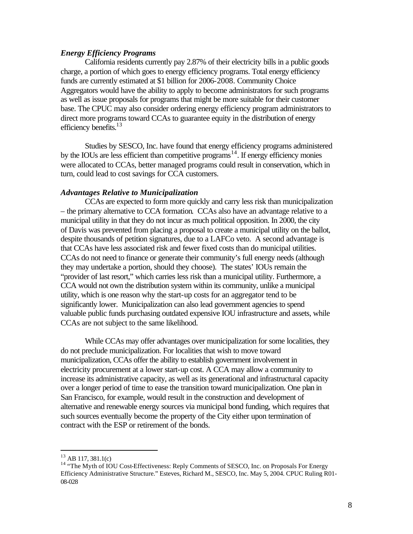#### *Energy Efficiency Programs*

California residents currently pay 2.87% of their electricity bills in a public goods charge, a portion of which goes to energy efficiency programs. Total energy efficiency funds are currently estimated at \$1 billion for 2006-2008. Community Choice Aggregators would have the ability to apply to become administrators for such programs as well as issue proposals for programs that might be more suitable for their customer base. The CPUC may also consider ordering energy efficiency program administrators to direct more programs toward CCAs to guarantee equity in the distribution of energy efficiency benefits.<sup>13</sup>

Studies by SESCO, Inc. have found that energy efficiency programs administered by the IOUs are less efficient than competitive programs<sup>14</sup>. If energy efficiency monies were allocated to CCAs, better managed programs could result in conservation, which in turn, could lead to cost savings for CCA customers.

#### *Advantages Relative to Municipalization*

CCAs are expected to form more quickly and carry less risk than municipalization – the primary alternative to CCA formation. CCAs also have an advantage relative to a municipal utility in that they do not incur as much political opposition. In 2000, the city of Davis was prevented from placing a proposal to create a municipal utility on the ballot, despite thousands of petition signatures, due to a LAFCo veto. A second advantage is that CCAs have less associated risk and fewer fixed costs than do municipal utilities. CCAs do not need to finance or generate their community's full energy needs (although they may undertake a portion, should they choose). The states' IOUs remain the "provider of last resort," which carries less risk than a municipal utility. Furthermore, a CCA would not own the distribution system within its community, unlike a municipal utility, which is one reason why the start-up costs for an aggregator tend to be significantly lower. Municipalization can also lead government agencies to spend valuable public funds purchasing outdated expensive IOU infrastructure and assets, while CCAs are not subject to the same likelihood.

While CCAs may offer advantages over municipalization for some localities, they do not preclude municipalization. For localities that wish to move toward municipalization, CCAs offer the ability to establish government involvement in electricity procurement at a lower start-up cost. A CCA may allow a community to increase its administrative capacity, as well as its generational and infrastructural capacity over a longer period of time to ease the transition toward municipalization. One plan in San Francisco, for example, would result in the construction and development of alternative and renewable energy sources via municipal bond funding, which requires that such sources eventually become the property of the City either upon termination of contract with the ESP or retirement of the bonds.

 $13$  AB 117, 381.1(c)

<sup>&</sup>lt;sup>14</sup> "The Myth of IOU Cost-Effectiveness: Reply Comments of SESCO, Inc. on Proposals For Energy Efficiency Administrative Structure." Esteves, Richard M., SESCO, Inc. May 5, 2004. CPUC Ruling R01- 08-028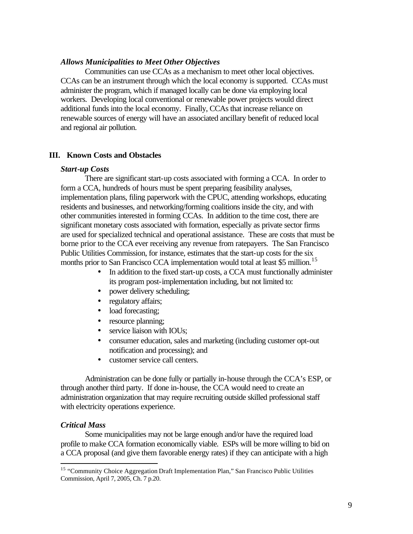#### *Allows Municipalities to Meet Other Objectives*

Communities can use CCAs as a mechanism to meet other local objectives. CCAs can be an instrument through which the local economy is supported. CCAs must administer the program, which if managed locally can be done via employing local workers. Developing local conventional or renewable power projects would direct additional funds into the local economy. Finally, CCAs that increase reliance on renewable sources of energy will have an associated ancillary benefit of reduced local and regional air pollution.

#### **III. Known Costs and Obstacles**

#### *Start-up Costs*

There are significant start-up costs associated with forming a CCA. In order to form a CCA, hundreds of hours must be spent preparing feasibility analyses, implementation plans, filing paperwork with the CPUC, attending workshops, educating residents and businesses, and networking/forming coalitions inside the city, and with other communities interested in forming CCAs. In addition to the time cost, there are significant monetary costs associated with formation, especially as private sector firms are used for specialized technical and operational assistance. These are costs that must be borne prior to the CCA ever receiving any revenue from ratepayers. The San Francisco Public Utilities Commission, for instance, estimates that the start-up costs for the six months prior to San Francisco CCA implementation would total at least \$5 million.<sup>15</sup>

- In addition to the fixed start-up costs, a CCA must functionally administer its program post-implementation including, but not limited to:
- power delivery scheduling;
- regulatory affairs;
- load forecasting;
- resource planning;
- service liaison with IOUs;
- consumer education, sales and marketing (including customer opt-out notification and processing); and
- customer service call centers.

Administration can be done fully or partially in-house through the CCA's ESP, or through another third party. If done in-house, the CCA would need to create an administration organization that may require recruiting outside skilled professional staff with electricity operations experience.

#### *Critical Mass*

 $\overline{a}$ 

Some municipalities may not be large enough and/or have the required load profile to make CCA formation economically viable. ESPs will be more willing to bid on a CCA proposal (and give them favorable energy rates) if they can anticipate with a high

<sup>&</sup>lt;sup>15</sup> "Community Choice Aggregation Draft Implementation Plan," San Francisco Public Utilities Commission, April 7, 2005, Ch. 7 p.20.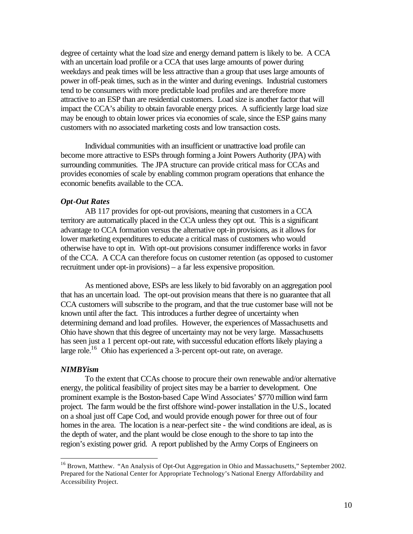degree of certainty what the load size and energy demand pattern is likely to be. A CCA with an uncertain load profile or a CCA that uses large amounts of power during weekdays and peak times will be less attractive than a group that uses large amounts of power in off-peak times, such as in the winter and during evenings. Industrial customers tend to be consumers with more predictable load profiles and are therefore more attractive to an ESP than are residential customers. Load size is another factor that will impact the CCA's ability to obtain favorable energy prices. A sufficiently large load size may be enough to obtain lower prices via economies of scale, since the ESP gains many customers with no associated marketing costs and low transaction costs.

Individual communities with an insufficient or unattractive load profile can become more attractive to ESPs through forming a Joint Powers Authority (JPA) with surrounding communities. The JPA structure can provide critical mass for CCAs and provides economies of scale by enabling common program operations that enhance the economic benefits available to the CCA.

#### *Opt-Out Rates*

AB 117 provides for opt-out provisions, meaning that customers in a CCA territory are automatically placed in the CCA unless they opt out. This is a significant advantage to CCA formation versus the alternative opt-in provisions, as it allows for lower marketing expenditures to educate a critical mass of customers who would otherwise have to opt in. With opt-out provisions consumer indifference works in favor of the CCA. A CCA can therefore focus on customer retention (as opposed to customer recruitment under opt-in provisions) – a far less expensive proposition.

As mentioned above, ESPs are less likely to bid favorably on an aggregation pool that has an uncertain load. The opt-out provision means that there is no guarantee that all CCA customers will subscribe to the program, and that the true customer base will not be known until after the fact. This introduces a further degree of uncertainty when determining demand and load profiles. However, the experiences of Massachusetts and Ohio have shown that this degree of uncertainty may not be very large. Massachusetts has seen just a 1 percent opt-out rate, with successful education efforts likely playing a large role.<sup>16</sup> Ohio has experienced a 3-percent opt-out rate, on average.

#### *NIMBYism*

 $\overline{a}$ 

To the extent that CCAs choose to procure their own renewable and/or alternative energy, the political feasibility of project sites may be a barrier to development. One prominent example is the Boston-based Cape Wind Associates' \$770 million wind farm project. The farm would be the first offshore wind-power installation in the U.S., located on a shoal just off Cape Cod, and would provide enough power for three out of four homes in the area. The location is a near-perfect site - the wind conditions are ideal, as is the depth of water, and the plant would be close enough to the shore to tap into the region's existing power grid. A report published by the Army Corps of Engineers on

<sup>&</sup>lt;sup>16</sup> Brown, Matthew. "An Analysis of Opt-Out Aggregation in Ohio and Massachusetts," September 2002. Prepared for the National Center for Appropriate Technology's National Energy Affordability and Accessibility Project.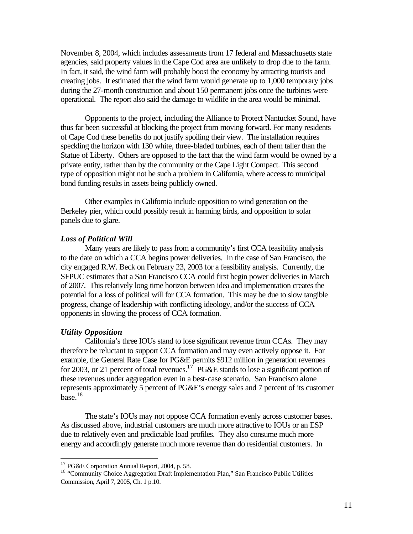November 8, 2004, which includes assessments from 17 federal and Massachusetts state agencies, said property values in the Cape Cod area are unlikely to drop due to the farm. In fact, it said, the wind farm will probably boost the economy by attracting tourists and creating jobs. It estimated that the wind farm would generate up to 1,000 temporary jobs during the 27-month construction and about 150 permanent jobs once the turbines were operational. The report also said the damage to wildlife in the area would be minimal.

Opponents to the project, including the Alliance to Protect Nantucket Sound, have thus far been successful at blocking the project from moving forward. For many residents of Cape Cod these benefits do not justify spoiling their view. The installation requires speckling the horizon with 130 white, three-bladed turbines, each of them taller than the Statue of Liberty. Others are opposed to the fact that the wind farm would be owned by a private entity, rather than by the community or the Cape Light Compact. This second type of opposition might not be such a problem in California, where access to municipal bond funding results in assets being publicly owned.

Other examples in California include opposition to wind generation on the Berkeley pier, which could possibly result in harming birds, and opposition to solar panels due to glare.

#### *Loss of Political Will*

Many years are likely to pass from a community's first CCA feasibility analysis to the date on which a CCA begins power deliveries. In the case of San Francisco, the city engaged R.W. Beck on February 23, 2003 for a feasibility analysis. Currently, the SFPUC estimates that a San Francisco CCA could first begin power deliveries in March of 2007. This relatively long time horizon between idea and implementation creates the potential for a loss of political will for CCA formation. This may be due to slow tangible progress, change of leadership with conflicting ideology, and/or the success of CCA opponents in slowing the process of CCA formation.

#### *Utility Opposition*

 $\overline{a}$ 

California's three IOUs stand to lose significant revenue from CCAs. They may therefore be reluctant to support CCA formation and may even actively oppose it. For example, the General Rate Case for PG&E permits \$912 million in generation revenues for 2003, or 21 percent of total revenues.<sup>17</sup> PG&E stands to lose a significant portion of these revenues under aggregation even in a best-case scenario. San Francisco alone represents approximately 5 percent of PG&E's energy sales and 7 percent of its customer  $base<sup>18</sup>$ 

The state's IOUs may not oppose CCA formation evenly across customer bases. As discussed above, industrial customers are much more attractive to IOUs or an ESP due to relatively even and predictable load profiles. They also consume much more energy and accordingly generate much more revenue than do residential customers. In

<sup>&</sup>lt;sup>17</sup> PG&E Corporation Annual Report, 2004, p. 58.

<sup>&</sup>lt;sup>18</sup> "Community Choice Aggregation Draft Implementation Plan," San Francisco Public Utilities Commission, April 7, 2005, Ch. 1 p.10.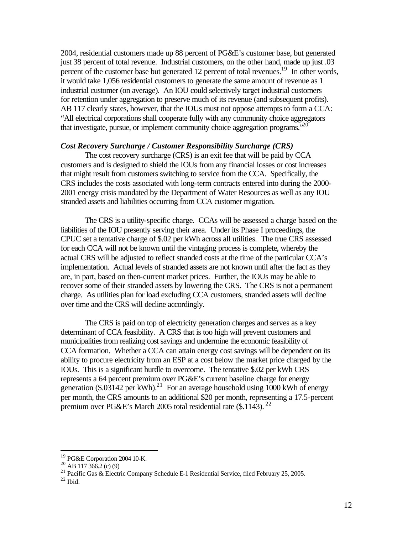2004, residential customers made up 88 percent of PG&E's customer base, but generated just 38 percent of total revenue. Industrial customers, on the other hand, made up just .03 percent of the customer base but generated 12 percent of total revenues.<sup>19</sup> In other words, it would take 1,056 residential customers to generate the same amount of revenue as 1 industrial customer (on average). An IOU could selectively target industrial customers for retention under aggregation to preserve much of its revenue (and subsequent profits). AB 117 clearly states, however, that the IOUs must not oppose attempts to form a CCA: "All electrical corporations shall cooperate fully with any community choice aggregators that investigate, pursue, or implement community choice aggregation programs.<sup> $20$ </sup>

#### *Cost Recovery Surcharge / Customer Responsibility Surcharge (CRS)*

The cost recovery surcharge (CRS) is an exit fee that will be paid by CCA customers and is designed to shield the IOUs from any financial losses or cost increases that might result from customers switching to service from the CCA. Specifically, the CRS includes the costs associated with long-term contracts entered into during the 2000- 2001 energy crisis mandated by the Department of Water Resources as well as any IOU stranded assets and liabilities occurring from CCA customer migration.

The CRS is a utility-specific charge. CCAs will be assessed a charge based on the liabilities of the IOU presently serving their area. Under its Phase I proceedings, the CPUC set a tentative charge of \$.02 per kWh across all utilities. The true CRS assessed for each CCA will not be known until the vintaging process is complete, whereby the actual CRS will be adjusted to reflect stranded costs at the time of the particular CCA's implementation. Actual levels of stranded assets are not known until after the fact as they are, in part, based on then-current market prices. Further, the IOUs may be able to recover some of their stranded assets by lowering the CRS. The CRS is not a permanent charge. As utilities plan for load excluding CCA customers, stranded assets will decline over time and the CRS will decline accordingly.

The CRS is paid on top of electricity generation charges and serves as a key determinant of CCA feasibility. A CRS that is too high will prevent customers and municipalities from realizing cost savings and undermine the economic feasibility of CCA formation. Whether a CCA can attain energy cost savings will be dependent on its ability to procure electricity from an ESP at a cost below the market price charged by the IOUs. This is a significant hurdle to overcome. The tentative \$.02 per kWh CRS represents a 64 percent premium over PG&E's current baseline charge for energy generation (\$.03142 per kWh).<sup>21</sup> For an average household using 1000 kWh of energy per month, the CRS amounts to an additional \$20 per month, representing a 17.5-percent premium over PG&E's March 2005 total residential rate (\$.1143).<sup>22</sup>

<sup>&</sup>lt;sup>19</sup> PG&E Corporation 2004 10-K.

 $^{20}$  AB 117 366.2 (c) (9)

<sup>&</sup>lt;sup>21</sup> Pacific Gas & Electric Company Schedule E-1 Residential Service, filed February 25, 2005.

 $^{22}$  Ibid.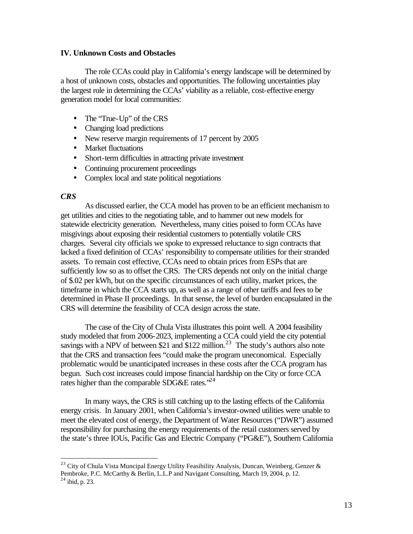#### **IV. Unknown Costs and Obstacles**

The role CCAs could play in California's energy landscape will be determined by a host of unknown costs, obstacles and opportunities. The following uncertainties play the largest role in determining the CCAs' viability as a reliable, cost-effective energy generation model for local communities:

- The "True-Up" of the CRS
- Changing load predictions
- New reserve margin requirements of 17 percent by 2005
- Market fluctuations
- Short-term difficulties in attracting private investment
- Continuing procurement proceedings
- Complex local and state political negotiations

#### *CRS*

 $\overline{a}$ 

As discussed earlier, the CCA model has proven to be an efficient mechanism to get utilities and cities to the negotiating table, and to hammer out new models for statewide electricity generation. Nevertheless, many cities poised to form CCAs have misgivings about exposing their residential customers to potentially volatile CRS charges. Several city officials we spoke to expressed reluctance to sign contracts that lacked a fixed definition of CCAs' responsibility to compensate utilities for their stranded assets. To remain cost effective, CCAs need to obtain prices from ESPs that are sufficiently low so as to offset the CRS. The CRS depends not only on the initial charge of \$.02 per kWh, but on the specific circumstances of each utility, market prices, the timeframe in which the CCA starts up, as well as a range of other tariffs and fees to be determined in Phase II proceedings. In that sense, the level of burden encapsulated in the CRS will determine the feasibility of CCA design across the state.

The case of the City of Chula Vista illustrates this point well. A 2004 feasibility study modeled that from 2006-2023, implementing a CCA could yield the city potential savings with a NPV of between \$21 and \$122 million.<sup>23</sup> The study's authors also note that the CRS and transaction fees "could make the program uneconomical. Especially problematic would be unanticipated increases in these costs after the CCA program has begun. Such cost increases could impose financial hardship on the City or force CCA rates higher than the comparable SDG&E rates."<sup>24</sup>

In many ways, the CRS is still catching up to the lasting effects of the California energy crisis. In January 2001, when California's investor-owned utilities were unable to meet the elevated cost of energy, the Department of Water Resources ("DWR") assumed responsibility for purchasing the energy requirements of the retail customers served by the state's three IOUs, Pacific Gas and Electric Company ("PG&E"), Southern California

<sup>&</sup>lt;sup>23</sup> City of Chula Vista Muncipal Energy Utility Feasibility Analysis, Duncan, Weinberg, Genzer & Pembroke, P.C. McCarthy & Berlin, L.L.P and Navigant Consulting, March 19, 2004, p. 12.  $24$  ibid, p. 23.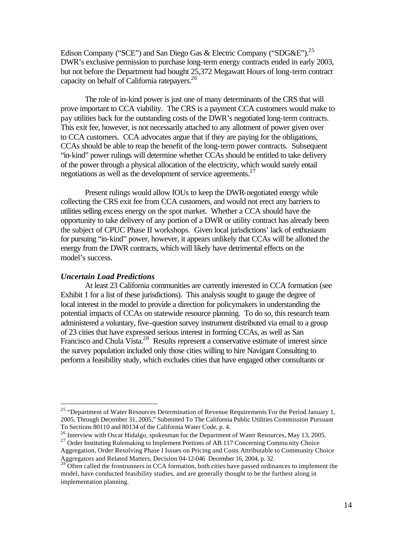Edison Company ("SCE") and San Diego Gas & Electric Company ("SDG&E").<sup>25</sup> DWR's exclusive permission to purchase long-term energy contracts ended in early 2003, but not before the Department had bought 25,372 Megawatt Hours of long-term contract capacity on behalf of California ratepayers.<sup>26</sup>

The role of in-kind power is just one of many determinants of the CRS that will prove important to CCA viability. The CRS is a payment CCA customers would make to pay utilities back for the outstanding costs of the DWR's negotiated long-term contracts. This exit fee, however, is not necessarily attached to any allotment of power given over to CCA customers. CCA advocates argue that if they are paying for the obligations, CCAs should be able to reap the benefit of the long-term power contracts. Subsequent "in-kind" power rulings will determine whether CCAs should be entitled to take delivery of the power through a physical allocation of the electricity, which would surely entail negotiations as well as the development of service agreements. 27

Present rulings would allow IOUs to keep the DWR-negotiated energy while collecting the CRS exit fee from CCA customers, and would not erect any barriers to utilities selling excess energy on the spot market. Whether a CCA should have the opportunity to take delivery of any portion of a DWR or utility contract has already been the subject of CPUC Phase II workshops. Given local jurisdictions' lack of enthusiasm for pursuing "in-kind" power, however, it appears unlikely that CCAs will be allotted the energy from the DWR contracts, which will likely have detrimental effects on the model's success.

#### *Uncertain Load Predictions*

 $\overline{a}$ 

At least 23 California communities are currently interested in CCA formation (see Exhibit 1 for a list of these jurisdictions). This analysis sought to gauge the degree of local interest in the model to provide a direction for policymakers in understanding the potential impacts of CCAs on statewide resource planning. To do so, this research team administered a voluntary, five-question survey instrument distributed via email to a group of 23 cities that have expressed serious interest in forming CCAs, as well as San Francisco and Chula Vista.<sup>28</sup> Results represent a conservative estimate of interest since the survey population included only those cities willing to hire Navigant Consulting to perform a feasibility study, which excludes cities that have engaged other consultants or

<sup>&</sup>lt;sup>25</sup> "Department of Water Resources Determination of Revenue Requirements For the Period January 1, 2005, Through December 31, 2005," Submitted To The California Public Utilities Commission Pursuant To Sections 80110 and 80134 of the California Water Code, p. 4.

<sup>&</sup>lt;sup>26</sup> Interview with Oscar Hidalgo, spokesman for the Department of Water Resources, May 13, 2005.

<sup>&</sup>lt;sup>27</sup> Order Instituting Rulemaking to Implement Portions of AB 117 Concerning Commu nity Choice Aggregation, Order Resolving Phase I Issues on Pricing and Costs Attributable to Community Choice Aggregators and Related Matters, Decision 04-12-046 December 16, 2004, p. 32.

 $28$  Often called the frontrunners in CCA formation, both cities have passed ordinances to implement the model, have conducted feasibility studies, and are generally thought to be the furthest along in implementation planning.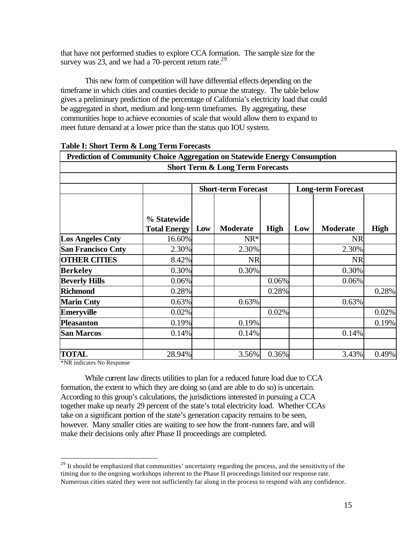that have not performed studies to explore CCA formation. The sample size for the survey was  $23$ , and we had a 70-percent return rate.<sup>29</sup>

This new form of competition will have differential effects depending on the timeframe in which cities and counties decide to pursue the strategy. The table below gives a preliminary prediction of the percentage of California's electricity load that could be aggregated in short, medium and long-term timeframes. By aggregating, these communities hope to achieve economies of scale that would allow them to expand to meet future demand at a lower price than the status quo IOU system.

| <b>Short Term &amp; Long Term Forecasts</b> |                                    |                            |                 |             |                           |                 |             |  |  |
|---------------------------------------------|------------------------------------|----------------------------|-----------------|-------------|---------------------------|-----------------|-------------|--|--|
|                                             |                                    | <b>Short-term Forecast</b> |                 |             | <b>Long-term Forecast</b> |                 |             |  |  |
|                                             | % Statewide<br><b>Total Energy</b> | Low                        | <b>Moderate</b> | <b>High</b> | Low                       | <b>Moderate</b> | <b>High</b> |  |  |
| <b>Los Angeles Cnty</b>                     | 16.60%                             |                            | $NR*$           |             |                           | <b>NR</b>       |             |  |  |
| <b>San Francisco Cnty</b>                   | 2.30%                              |                            | 2.30%           |             |                           | 2.30%           |             |  |  |
| <b>OTHER CITIES</b>                         | 8.42%                              |                            | <b>NR</b>       |             |                           | <b>NR</b>       |             |  |  |
| <b>Berkeley</b>                             | 0.30%                              |                            | 0.30%           |             |                           | 0.30%           |             |  |  |
| <b>Beverly Hills</b>                        | 0.06%                              |                            |                 | 0.06%       |                           | 0.06%           |             |  |  |
| <b>Richmond</b>                             | 0.28%                              |                            |                 | 0.28%       |                           |                 | 0.28%       |  |  |
| <b>Marin Cnty</b>                           | 0.63%                              |                            | 0.63%           |             |                           | 0.63%           |             |  |  |
| <b>Emeryville</b>                           | 0.02%                              |                            |                 | 0.02%       |                           |                 | 0.02%       |  |  |
| <b>Pleasanton</b>                           | 0.19%                              |                            | 0.19%           |             |                           |                 | 0.19%       |  |  |
| <b>San Marcos</b>                           | 0.14%                              |                            | 0.14%           |             |                           | 0.14%           |             |  |  |
| <b>TOTAL</b>                                | 28.94%                             |                            | 3.56%           | 0.36%       |                           | 3.43%           | 0.49%       |  |  |

#### **Table I: Short Term & Long Term Forecasts**

\*NR indicates No Response

 $\overline{a}$ 

While current law directs utilities to plan for a reduced future load due to CCA formation, the extent to which they are doing so (and are able to do so) is uncertain. According to this group's calculations, the jurisdictions interested in pursuing a CCA together make up nearly 29 percent of the state's total electricity load. Whether CCAs take on a significant portion of the state's generation capacity remains to be seen, however. Many smaller cities are waiting to see how the front-runners fare, and will make their decisions only after Phase II proceedings are completed.

 $^{29}$  It should be emphasized that communities' uncertainty regarding the process, and the sensitivity of the timing due to the ongoing workshops inherent to the Phase II proceedings limited our response rate. Numerous cities stated they were not sufficiently far along in the process to respond with any confidence.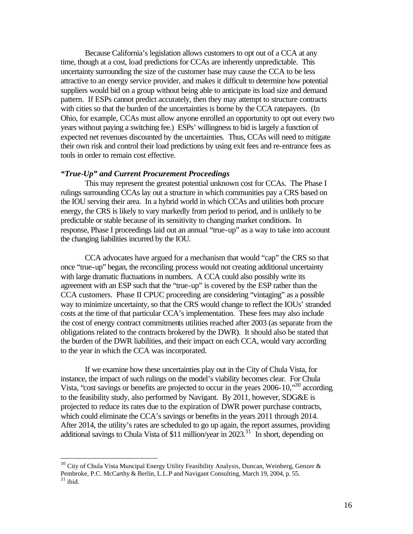Because California's legislation allows customers to opt out of a CCA at any time, though at a cost, load predictions for CCAs are inherently unpredictable. This uncertainty surrounding the size of the customer base may cause the CCA to be less attractive to an energy service provider, and makes it difficult to determine how potential suppliers would bid on a group without being able to anticipate its load size and demand pattern. If ESPs cannot predict accurately, then they may attempt to structure contracts with cities so that the burden of the uncertainties is borne by the CCA ratepayers. (In Ohio, for example, CCAs must allow anyone enrolled an opportunity to opt out every two years without paying a switching fee.) ESPs' willingness to bid is largely a function of expected net revenues discounted by the uncertainties. Thus, CCAs will need to mitigate their own risk and control their load predictions by using exit fees and re-entrance fees as tools in order to remain cost effective.

#### *"True-Up" and Current Procurement Proceedings*

This may represent the greatest potential unknown cost for CCAs. The Phase I rulings surrounding CCAs lay out a structure in which communities pay a CRS based on the IOU serving their area. In a hybrid world in which CCAs and utilities both procure energy, the CRS is likely to vary markedly from period to period, and is unlikely to be predictable or stable because of its sensitivity to changing market conditions. In response, Phase I proceedings laid out an annual "true-up" as a way to take into account the changing liabilities incurred by the IOU.

CCA advocates have argued for a mechanism that would "cap" the CRS so that once "true-up" began, the reconciling process would not creating additional uncertainty with large dramatic fluctuations in numbers. A CCA could also possibly write its agreement with an ESP such that the "true-up" is covered by the ESP rather than the CCA customers. Phase II CPUC proceeding are considering "vintaging" as a possible way to minimize uncertainty, so that the CRS would change to reflect the IOUs' stranded costs at the time of that particular CCA's implementation. These fees may also include the cost of energy contract commitments utilities reached after 2003 (as separate from the obligations related to the contracts brokered by the DWR). It should also be stated that the burden of the DWR liabilities, and their impact on each CCA, would vary according to the year in which the CCA was incorporated.

If we examine how these uncertainties play out in the City of Chula Vista, for instance, the impact of such rulings on the model's viability becomes clear. For Chula Vista, "cost savings or benefits are projected to occur in the years 2006-10,"<sup>30</sup> according to the feasibility study, also performed by Navigant. By 2011, however, SDG&E is projected to reduce its rates due to the expiration of DWR power purchase contracts, which could eliminate the CCA's savings or benefits in the years 2011 through 2014. After 2014, the utility's rates are scheduled to go up again, the report assumes, providing additional savings to Chula Vista of \$11 million/year in  $2023$ <sup>31</sup> In short, depending on

 $30$  City of Chula Vista Muncipal Energy Utility Feasibility Analysis, Duncan, Weinberg, Genzer & Pembroke, P.C. McCarthy & Berlin, L.L.P and Navigant Consulting, March 19, 2004, p. 55.  $31$  ibid.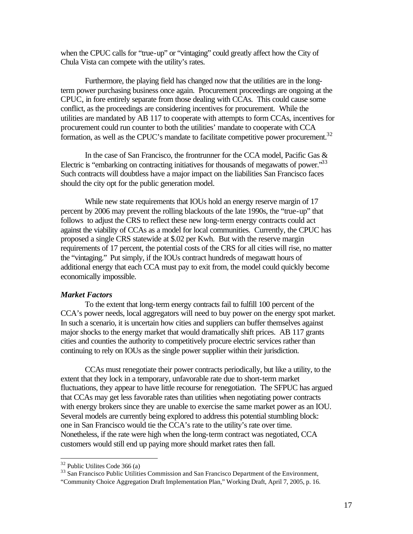when the CPUC calls for "true-up" or "vintaging" could greatly affect how the City of Chula Vista can compete with the utility's rates.

Furthermore, the playing field has changed now that the utilities are in the longterm power purchasing business once again. Procurement proceedings are ongoing at the CPUC, in fore entirely separate from those dealing with CCAs. This could cause some conflict, as the proceedings are considering incentives for procurement. While the utilities are mandated by AB 117 to cooperate with attempts to form CCAs, incentives for procurement could run counter to both the utilities' mandate to cooperate with CCA formation, as well as the CPUC's mandate to facilitate competitive power procurement.<sup>32</sup>

In the case of San Francisco, the frontrunner for the CCA model, Pacific Gas & Electric is "embarking on contracting initiatives for thousands of megawatts of power." $33$ Such contracts will doubtless have a major impact on the liabilities San Francisco faces should the city opt for the public generation model.

While new state requirements that IOUs hold an energy reserve margin of 17 percent by 2006 may prevent the rolling blackouts of the late 1990s, the "true-up" that follows to adjust the CRS to reflect these new long-term energy contracts could act against the viability of CCAs as a model for local communities. Currently, the CPUC has proposed a single CRS statewide at \$.02 per Kwh. But with the reserve margin requirements of 17 percent, the potential costs of the CRS for all cities will rise, no matter the "vintaging." Put simply, if the IOUs contract hundreds of megawatt hours of additional energy that each CCA must pay to exit from, the model could quickly become economically impossible.

#### *Market Factors*

To the extent that long-term energy contracts fail to fulfill 100 percent of the CCA's power needs, local aggregators will need to buy power on the energy spot market. In such a scenario, it is uncertain how cities and suppliers can buffer themselves against major shocks to the energy market that would dramatically shift prices. AB 117 grants cities and counties the authority to competitively procure electric services rather than continuing to rely on IOUs as the single power supplier within their jurisdiction.

CCAs must renegotiate their power contracts periodically, but like a utility, to the extent that they lock in a temporary, unfavorable rate due to short-term market fluctuations, they appear to have little recourse for renegotiation. The SFPUC has argued that CCAs may get less favorable rates than utilities when negotiating power contracts with energy brokers since they are unable to exercise the same market power as an IOU. Several models are currently being explored to address this potential stumbling block: one in San Francisco would tie the CCA's rate to the utility's rate over time. Nonetheless, if the rate were high when the long-term contract was negotiated, CCA customers would still end up paying more should market rates then fall.

 $32$  Public Utilites Code 366 (a)

<sup>&</sup>lt;sup>33</sup> San Francisco Public Utilities Commission and San Francisco Department of the Environment,

<sup>&</sup>quot;Community Choice Aggregation Draft Implementation Plan," Working Draft, April 7, 2005, p. 16.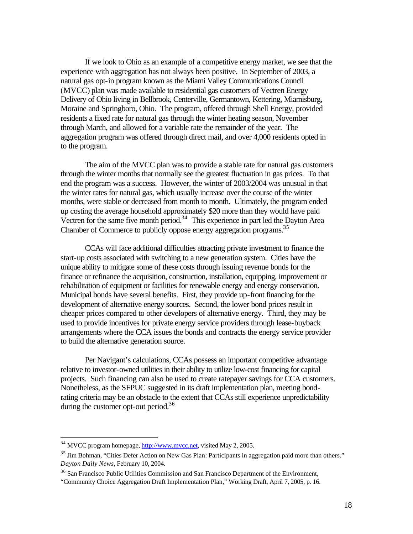If we look to Ohio as an example of a competitive energy market, we see that the experience with aggregation has not always been positive. In September of 2003, a natural gas opt-in program known as the Miami Valley Communications Council (MVCC) plan was made available to residential gas customers of Vectren Energy Delivery of Ohio living in Bellbrook, Centerville, Germantown, Kettering, Miamisburg, Moraine and Springboro, Ohio. The program, offered through Shell Energy, provided residents a fixed rate for natural gas through the winter heating season, November through March, and allowed for a variable rate the remainder of the year. The aggregation program was offered through direct mail, and over 4,000 residents opted in to the program.

The aim of the MVCC plan was to provide a stable rate for natural gas customers through the winter months that normally see the greatest fluctuation in gas prices. To that end the program was a success. However, the winter of 2003/2004 was unusual in that the winter rates for natural gas, which usually increase over the course of the winter months, were stable or decreased from month to month. Ultimately, the program ended up costing the average household approximately \$20 more than they would have paid Vectren for the same five month period.<sup>34</sup> This experience in part led the Dayton Area Chamber of Commerce to publicly oppose energy aggregation programs.<sup>35</sup>

CCAs will face additional difficulties attracting private investment to finance the start-up costs associated with switching to a new generation system. Cities have the unique ability to mitigate some of these costs through issuing revenue bonds for the finance or refinance the acquisition, construction, installation, equipping, improvement or rehabilitation of equipment or facilities for renewable energy and energy conservation. Municipal bonds have several benefits. First, they provide up-front financing for the development of alternative energy sources. Second, the lower bond prices result in cheaper prices compared to other developers of alternative energy. Third, they may be used to provide incentives for private energy service providers through lease-buyback arrangements where the CCA issues the bonds and contracts the energy service provider to build the alternative generation source.

Per Navigant's calculations, CCAs possess an important competitive advantage relative to investor-owned utilities in their ability to utilize low-cost financing for capital projects. Such financing can also be used to create ratepayer savings for CCA customers. Nonetheless, as the SFPUC suggested in its draft implementation plan, meeting bondrating criteria may be an obstacle to the extent that CCAs still experience unpredictability during the customer opt-out period. $36$ 

<sup>&</sup>lt;sup>34</sup> MVCC program homepage, http://www.mvcc.net, visited May 2, 2005.

<sup>&</sup>lt;sup>35</sup> Jim Bohman, "Cities Defer Action on New Gas Plan: Participants in aggregation paid more than others." *Dayton Daily News*, February 10, 2004.

<sup>&</sup>lt;sup>36</sup> San Francisco Public Utilities Commission and San Francisco Department of the Environment,

<sup>&</sup>quot;Community Choice Aggregation Draft Implementation Plan," Working Draft, April 7, 2005, p. 16.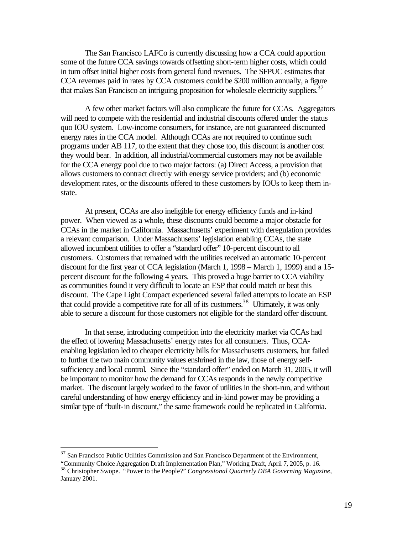The San Francisco LAFCo is currently discussing how a CCA could apportion some of the future CCA savings towards offsetting short-term higher costs, which could in turn offset initial higher costs from general fund revenues. The SFPUC estimates that CCA revenues paid in rates by CCA customers could be \$200 million annually, a figure that makes San Francisco an intriguing proposition for wholesale electricity suppliers.<sup>37</sup>

A few other market factors will also complicate the future for CCAs. Aggregators will need to compete with the residential and industrial discounts offered under the status quo IOU system. Low-income consumers, for instance, are not guaranteed discounted energy rates in the CCA model. Although CCAs are not required to continue such programs under AB 117, to the extent that they chose too, this discount is another cost they would bear. In addition, all industrial/commercial customers may not be available for the CCA energy pool due to two major factors: (a) Direct Access, a provision that allows customers to contract directly with energy service providers; and (b) economic development rates, or the discounts offered to these customers by IOUs to keep them instate.

At present, CCAs are also ineligible for energy efficiency funds and in-kind power. When viewed as a whole, these discounts could become a major obstacle for CCAs in the market in California. Massachusetts' experiment with deregulation provides a relevant comparison. Under Massachusetts' legislation enabling CCAs, the state allowed incumbent utilities to offer a "standard offer" 10-percent discount to all customers. Customers that remained with the utilities received an automatic 10-percent discount for the first year of CCA legislation (March 1, 1998 – March 1, 1999) and a 15 percent discount for the following 4 years. This proved a huge barrier to CCA viability as communities found it very difficult to locate an ESP that could match or beat this discount. The Cape Light Compact experienced several failed attempts to locate an ESP that could provide a competitive rate for all of its customers.<sup>38</sup> Ultimately, it was only able to secure a discount for those customers not eligible for the standard offer discount.

In that sense, introducing competition into the electricity market via CCAs had the effect of lowering Massachusetts' energy rates for all consumers. Thus, CCAenabling legislation led to cheaper electricity bills for Massachusetts customers, but failed to further the two main community values enshrined in the law, those of energy selfsufficiency and local control. Since the "standard offer" ended on March 31, 2005, it will be important to monitor how the demand for CCAs responds in the newly competitive market. The discount largely worked to the favor of utilities in the short-run, and without careful understanding of how energy efficiency and in-kind power may be providing a similar type of "built-in discount," the same framework could be replicated in California.

 $37$  San Francisco Public Utilities Commission and San Francisco Department of the Environment, "Community Choice Aggregation Draft Implementation Plan," Working Draft, April 7, 2005, p. 16.

<sup>38</sup> Christopher Swope. "Power to the People?" *Congressional Quarterly DBA Governing Magazine*, January 2001.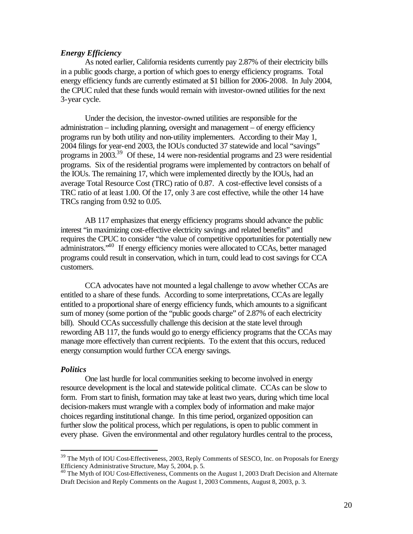#### *Energy Efficiency*

As noted earlier, California residents currently pay 2.87% of their electricity bills in a public goods charge, a portion of which goes to energy efficiency programs. Total energy efficiency funds are currently estimated at \$1 billion for 2006-2008. In July 2004, the CPUC ruled that these funds would remain with investor-owned utilities for the next 3-year cycle.

Under the decision, the investor-owned utilities are responsible for the administration – including planning, oversight and management – of energy efficiency programs run by both utility and non-utility implementers. According to their May 1, 2004 filings for year-end 2003, the IOUs conducted 37 statewide and local "savings" programs in 2003.<sup>39</sup> Of these, 14 were non-residential programs and 23 were residential programs. Six of the residential programs were implemented by contractors on behalf of the IOUs. The remaining 17, which were implemented directly by the IOUs, had an average Total Resource Cost (TRC) ratio of 0.87. A cost-effective level consists of a TRC ratio of at least 1.00. Of the 17, only 3 are cost effective, while the other 14 have TRCs ranging from 0.92 to 0.05.

AB 117 emphasizes that energy efficiency programs should advance the public interest "in maximizing cost-effective electricity savings and related benefits" and requires the CPUC to consider "the value of competitive opportunities for potentially new administrators.<sup>40</sup> If energy efficiency monies were allocated to CCAs, better managed programs could result in conservation, which in turn, could lead to cost savings for CCA customers.

CCA advocates have not mounted a legal challenge to avow whether CCAs are entitled to a share of these funds. According to some interpretations, CCAs are legally entitled to a proportional share of energy efficiency funds, which amounts to a significant sum of money (some portion of the "public goods charge" of 2.87% of each electricity bill). Should CCAs successfully challenge this decision at the state level through rewording AB 117, the funds would go to energy efficiency programs that the CCAs may manage more effectively than current recipients. To the extent that this occurs, reduced energy consumption would further CCA energy savings.

#### *Politics*

 $\overline{a}$ 

One last hurdle for local communities seeking to become involved in energy resource development is the local and statewide political climate. CCAs can be slow to form. From start to finish, formation may take at least two years, during which time local decision-makers must wrangle with a complex body of information and make major choices regarding institutional change. In this time period, organized opposition can further slow the political process, which per regulations, is open to public comment in every phase. Given the environmental and other regulatory hurdles central to the process,

<sup>&</sup>lt;sup>39</sup> The Myth of IOU Cost-Effectiveness, 2003, Reply Comments of SESCO, Inc. on Proposals for Energy Efficiency Administrative Structure, May 5, 2004, p. 5.

<sup>&</sup>lt;sup>40</sup> The Myth of IOU Cost-Effectiveness, Comments on the August 1, 2003 Draft Decision and Alternate Draft Decision and Reply Comments on the August 1, 2003 Comments, August 8, 2003, p. 3.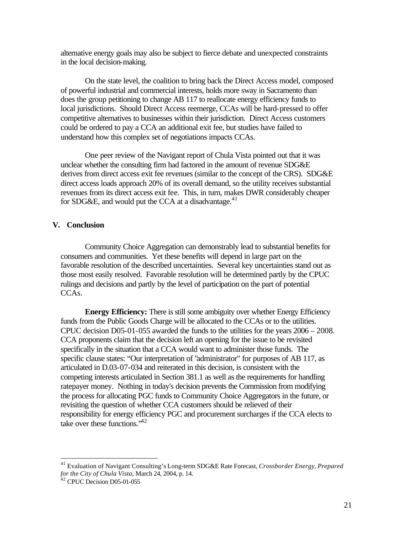alternative energy goals may also be subject to fierce debate and unexpected constraints in the local decision-making.

On the state level, the coalition to bring back the Direct Access model, composed of powerful industrial and commercial interests, holds more sway in Sacramento than does the group petitioning to change AB 117 to reallocate energy efficiency funds to local jurisdictions. Should Direct Access reemerge, CCAs will be hard-pressed to offer competitive alternatives to businesses within their jurisdiction. Direct Access customers could be ordered to pay a CCA an additional exit fee, but studies have failed to understand how this complex set of negotiations impacts CCAs.

One peer review of the Navigant report of Chula Vista pointed out that it was unclear whether the consulting firm had factored in the amount of revenue SDG&E derives from direct access exit fee revenues (similar to the concept of the CRS). SDG&E direct access loads approach 20% of its overall demand, so the utility receives substantial revenues from its direct access exit fee. This, in turn, makes DWR considerably cheaper for SDG&E, and would put the CCA at a disadvantage.<sup>41</sup>

#### **V. Conclusion**

Community Choice Aggregation can demonstrably lead to substantial benefits for consumers and communities. Yet these benefits will depend in large part on the favorable resolution of the described uncertainties. Several key uncertainties stand out as those most easily resolved. Favorable resolution will be determined partly by the CPUC rulings and decisions and partly by the level of participation on the part of potential CCA<sub>s</sub>.

**Energy Efficiency:** There is still some ambiguity over whether Energy Efficiency funds from the Public Goods Charge will be allocated to the CCAs or to the utilities. CPUC decision D05-01-055 awarded the funds to the utilities for the years 2006 – 2008. CCA proponents claim that the decision left an opening for the issue to be revisited specifically in the situation that a CCA would want to administer those funds. The specific clause states: "Our interpretation of "administrator" for purposes of AB 117, as articulated in D.03-07-034 and reiterated in this decision, is consistent with the competing interests articulated in Section 381.1 as well as the requirements for handling ratepayer money. Nothing in today's decision prevents the Commission from modifying the process for allocating PGC funds to Community Choice Aggregators in the future, or revisiting the question of whether CCA customers should be relieved of their responsibility for energy efficiency PGC and procurement surcharges if the CCA elects to take over these functions.<sup> $42$ </sup>

<sup>41</sup> Evaluation of Navigant Consulting's Long-term SDG&E Rate Forecast, *Crossborder Energy*, *Prepared for the City of Chula Vista,* March 24, 2004, p. 14.

<sup>42</sup> CPUC Decision D05-01-055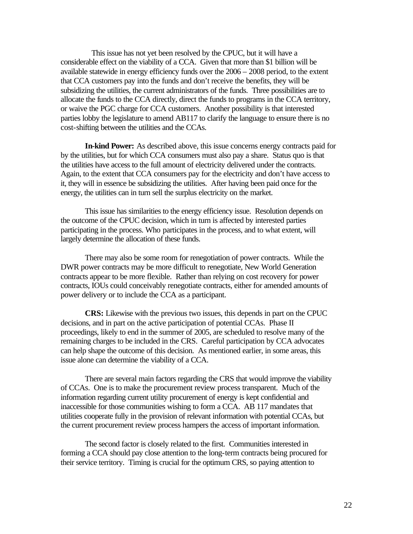This issue has not yet been resolved by the CPUC, but it will have a considerable effect on the viability of a CCA. Given that more than \$1 billion will be available statewide in energy efficiency funds over the 2006 – 2008 period, to the extent that CCA customers pay into the funds and don't receive the benefits, they will be subsidizing the utilities, the current administrators of the funds. Three possibilities are to allocate the funds to the CCA directly, direct the funds to programs in the CCA territory, or waive the PGC charge for CCA customers. Another possibility is that interested parties lobby the legislature to amend AB117 to clarify the language to ensure there is no cost-shifting between the utilities and the CCAs.

**In-kind Power:** As described above, this issue concerns energy contracts paid for by the utilities, but for which CCA consumers must also pay a share. Status quo is that the utilities have access to the full amount of electricity delivered under the contracts. Again, to the extent that CCA consumers pay for the electricity and don't have access to it, they will in essence be subsidizing the utilities. After having been paid once for the energy, the utilities can in turn sell the surplus electricity on the market.

This issue has similarities to the energy efficiency issue. Resolution depends on the outcome of the CPUC decision, which in turn is affected by interested parties participating in the process. Who participates in the process, and to what extent, will largely determine the allocation of these funds.

There may also be some room for renegotiation of power contracts. While the DWR power contracts may be more difficult to renegotiate, New World Generation contracts appear to be more flexible. Rather than relying on cost recovery for power contracts, IOUs could conceivably renegotiate contracts, either for amended amounts of power delivery or to include the CCA as a participant.

**CRS:** Likewise with the previous two issues, this depends in part on the CPUC decisions, and in part on the active participation of potential CCAs. Phase II proceedings, likely to end in the summer of 2005, are scheduled to resolve many of the remaining charges to be included in the CRS. Careful participation by CCA advocates can help shape the outcome of this decision. As mentioned earlier, in some areas, this issue alone can determine the viability of a CCA.

There are several main factors regarding the CRS that would improve the viability of CCAs. One is to make the procurement review process transparent. Much of the information regarding current utility procurement of energy is kept confidential and inaccessible for those communities wishing to form a CCA. AB 117 mandates that utilities cooperate fully in the provision of relevant information with potential CCAs, but the current procurement review process hampers the access of important information.

The second factor is closely related to the first. Communities interested in forming a CCA should pay close attention to the long-term contracts being procured for their service territory. Timing is crucial for the optimum CRS, so paying attention to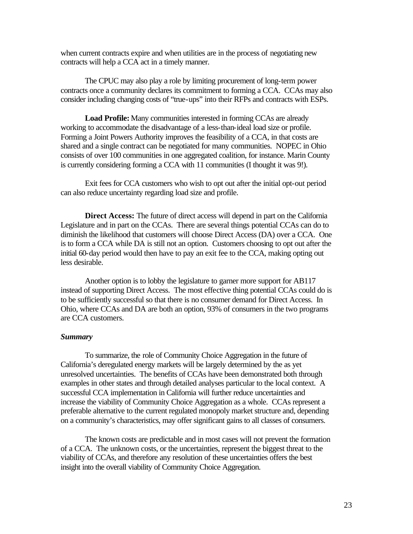when current contracts expire and when utilities are in the process of negotiating new contracts will help a CCA act in a timely manner.

The CPUC may also play a role by limiting procurement of long-term power contracts once a community declares its commitment to forming a CCA. CCAs may also consider including changing costs of "true-ups" into their RFPs and contracts with ESPs.

**Load Profile:** Many communities interested in forming CCAs are already working to accommodate the disadvantage of a less-than-ideal load size or profile. Forming a Joint Powers Authority improves the feasibility of a CCA, in that costs are shared and a single contract can be negotiated for many communities. NOPEC in Ohio consists of over 100 communities in one aggregated coalition, for instance. Marin County is currently considering forming a CCA with 11 communities (I thought it was 9!).

Exit fees for CCA customers who wish to opt out after the initial opt-out period can also reduce uncertainty regarding load size and profile.

**Direct Access:** The future of direct access will depend in part on the California Legislature and in part on the CCAs. There are several things potential CCAs can do to diminish the likelihood that customers will choose Direct Access (DA) over a CCA. One is to form a CCA while DA is still not an option. Customers choosing to opt out after the initial 60-day period would then have to pay an exit fee to the CCA, making opting out less desirable.

Another option is to lobby the legislature to garner more support for AB117 instead of supporting Direct Access. The most effective thing potential CCAs could do is to be sufficiently successful so that there is no consumer demand for Direct Access. In Ohio, where CCAs and DA are both an option, 93% of consumers in the two programs are CCA customers.

#### *Summary*

To summarize, the role of Community Choice Aggregation in the future of California's deregulated energy markets will be largely determined by the as yet unresolved uncertainties. The benefits of CCAs have been demonstrated both through examples in other states and through detailed analyses particular to the local context. A successful CCA implementation in California will further reduce uncertainties and increase the viability of Community Choice Aggregation as a whole. CCAs represent a preferable alternative to the current regulated monopoly market structure and, depending on a community's characteristics, may offer significant gains to all classes of consumers.

The known costs are predictable and in most cases will not prevent the formation of a CCA. The unknown costs, or the uncertainties, represent the biggest threat to the viability of CCAs, and therefore any resolution of these uncertainties offers the best insight into the overall viability of Community Choice Aggregation.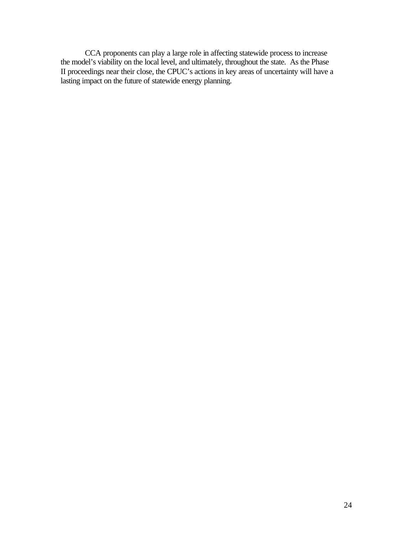CCA proponents can play a large role in affecting statewide process to increase the model's viability on the local level, and ultimately, throughout the state. As the Phase II proceedings near their close, the CPUC's actions in key areas of uncertainty will have a lasting impact on the future of statewide energy planning.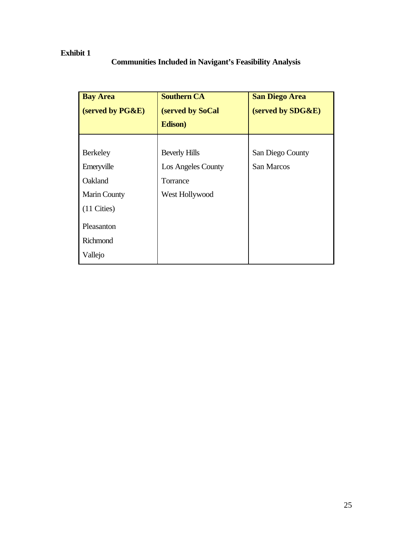# **Exhibit 1**

# **Communities Included in Navigant's Feasibility Analysis**

| <b>Bay Area</b>       | <b>Southern CA</b>   | <b>San Diego Area</b> |  |  |
|-----------------------|----------------------|-----------------------|--|--|
| (served by PG&E)      | (served by SoCal     | (served by SDG&E)     |  |  |
|                       | Edison)              |                       |  |  |
|                       |                      |                       |  |  |
| <b>Berkeley</b>       | <b>Beverly Hills</b> | San Diego County      |  |  |
| Emeryville            | Los Angeles County   | San Marcos            |  |  |
| Oakland               | Torrance             |                       |  |  |
| <b>Marin County</b>   | West Hollywood       |                       |  |  |
| $(11 \text{ Cities})$ |                      |                       |  |  |
| Pleasanton            |                      |                       |  |  |
| Richmond              |                      |                       |  |  |
| Vallejo               |                      |                       |  |  |
|                       |                      |                       |  |  |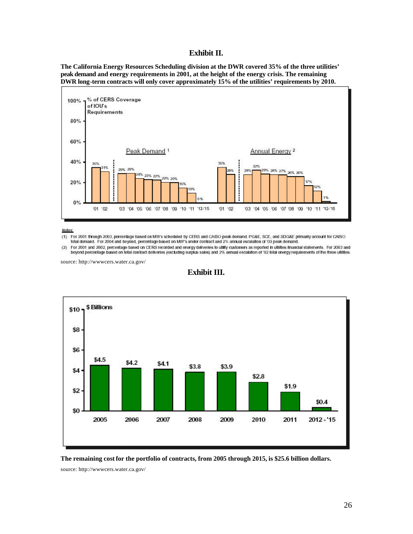#### **Exhibit II.**

**The California Energy Resources Scheduling division at the DWR covered 35% of the three utilities' peak demand and energy requirements in 2001, at the height of the energy crisis. The remaining DWR long-term contracts will only cover approximately 15% of the utilities' requirements by 2010.**



Notes:

(1) For 2001 through 2003, percentage based on MW's scheduled by CERS and CAISO peak demand. PG&E, SCE, and SDG&E primarily account for CAISO total demand. For 2004 and beyond, percentage based on MW's under contract and 2% annual escalation of 'O3 peak demand.

 $(2)$ For 2001 and 2002, percentage based on CERS recorded and energy deliveries to utility customers as reported in utilities financial statements. For 2003 and beyond percentage based on total contract deliveries (excluding surplus sales) and 2% annual escalation of '02 total energy requirements of the three utilities.

source: http://wwwcers.water.ca.gov/

#### **Exhibit III.**





source: http://wwwcers.water.ca.gov/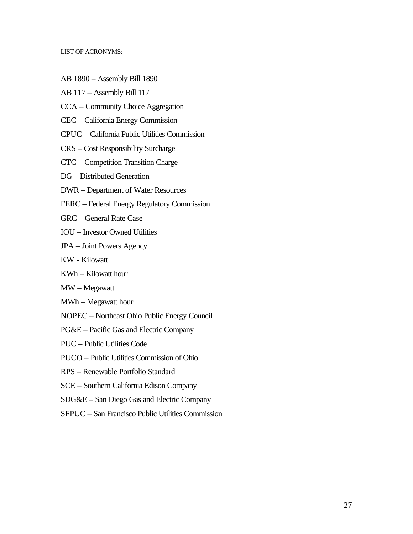#### LIST OF ACRONYMS:

- AB 1890 Assembly Bill 1890
- AB 117 Assembly Bill 117
- CCA Community Choice Aggregation
- CEC California Energy Commission
- CPUC California Public Utilities Commission
- CRS Cost Responsibility Surcharge
- CTC Competition Transition Charge
- DG Distributed Generation
- DWR Department of Water Resources
- FERC Federal Energy Regulatory Commission
- GRC General Rate Case
- IOU Investor Owned Utilities
- JPA Joint Powers Agency
- KW Kilowatt
- KWh Kilowatt hour
- MW Megawatt
- MWh Megawatt hour
- NOPEC Northeast Ohio Public Energy Council
- PG&E Pacific Gas and Electric Company
- PUC Public Utilities Code
- PUCO Public Utilities Commission of Ohio
- RPS Renewable Portfolio Standard
- SCE Southern California Edison Company
- SDG&E San Diego Gas and Electric Company
- SFPUC San Francisco Public Utilities Commission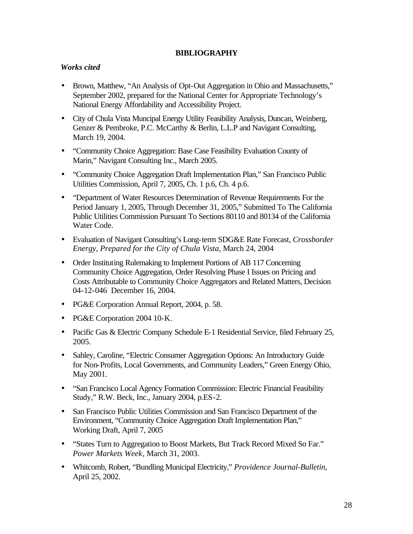## **BIBLIOGRAPHY**

## *Works cited*

- Brown, Matthew, "An Analysis of Opt-Out Aggregation in Ohio and Massachusetts," September 2002, prepared for the National Center for Appropriate Technology's National Energy Affordability and Accessibility Project.
- City of Chula Vista Muncipal Energy Utility Feasibility Analysis, Duncan, Weinberg, Genzer & Pembroke, P.C. McCarthy & Berlin, L.L.P and Navigant Consulting, March 19, 2004.
- "Community Choice Aggregation: Base Case Feasibility Evaluation County of Marin," Navigant Consulting Inc., March 2005.
- "Community Choice Aggregation Draft Implementation Plan," San Francisco Public Utilities Commission, April 7, 2005, Ch. 1 p.6, Ch. 4 p.6.
- "Department of Water Resources Determination of Revenue Requirements For the Period January 1, 2005, Through December 31, 2005," Submitted To The California Public Utilities Commission Pursuant To Sections 80110 and 80134 of the California Water Code.
- Evaluation of Navigant Consulting's Long-term SDG&E Rate Forecast, *Crossborder Energy*, *Prepared for the City of Chula Vista,* March 24, 2004
- Order Instituting Rulemaking to Implement Portions of AB 117 Concerning Community Choice Aggregation, Order Resolving Phase I Issues on Pricing and Costs Attributable to Community Choice Aggregators and Related Matters, Decision 04-12-046 December 16, 2004.
- PG&E Corporation Annual Report, 2004, p. 58.
- PG&E Corporation 2004 10-K.
- Pacific Gas & Electric Company Schedule E-1 Residential Service, filed February 25, 2005.
- Sahley, Caroline, "Electric Consumer Aggregation Options: An Introductory Guide for Non-Profits, Local Governments, and Community Leaders," Green Energy Ohio, May 2001.
- "San Francisco Local Agency Formation Commission: Electric Financial Feasibility Study," R.W. Beck, Inc., January 2004, p.ES-2.
- San Francisco Public Utilities Commission and San Francisco Department of the Environment, "Community Choice Aggregation Draft Implementation Plan," Working Draft, April 7, 2005
- "States Turn to Aggregation to Boost Markets, But Track Record Mixed So Far." *Power Markets Week*, March 31, 2003.
- Whitcomb, Robert, "Bundling Municipal Electricity," *Providence Journal-Bulletin*, April 25, 2002.